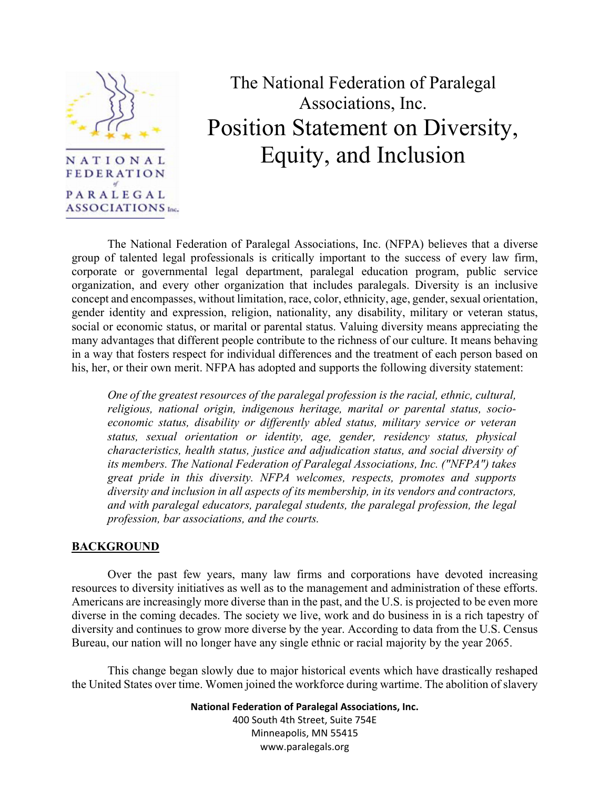

## The National Federation of Paralegal Associations, Inc. Position Statement on Diversity, Equity, and Inclusion

 The National Federation of Paralegal Associations, Inc. (NFPA) believes that a diverse group of talented legal professionals is critically important to the success of every law firm, corporate or governmental legal department, paralegal education program, public service organization, and every other organization that includes paralegals. Diversity is an inclusive concept and encompasses, without limitation, race, color, ethnicity, age, gender, sexual orientation, gender identity and expression, religion, nationality, any disability, military or veteran status, social or economic status, or marital or parental status. Valuing diversity means appreciating the many advantages that different people contribute to the richness of our culture. It means behaving in a way that fosters respect for individual differences and the treatment of each person based on his, her, or their own merit. NFPA has adopted and supports the following diversity statement:

*One of the greatest resources of the paralegal profession is the racial, ethnic, cultural, religious, national origin, indigenous heritage, marital or parental status, socioeconomic status, disability or differently abled status, military service or veteran status, sexual orientation or identity, age, gender, residency status, physical characteristics, health status, justice and adjudication status, and social diversity of its members. The National Federation of Paralegal Associations, Inc. ("NFPA") takes great pride in this diversity. NFPA welcomes, respects, promotes and supports diversity and inclusion in all aspects of its membership, in its vendors and contractors, and with paralegal educators, paralegal students, the paralegal profession, the legal profession, bar associations, and the courts.* 

## **BACKGROUND**

 Over the past few years, many law firms and corporations have devoted increasing resources to diversity initiatives as well as to the management and administration of these efforts. Americans are increasingly more diverse than in the past, and the U.S. is projected to be even more diverse in the coming decades. The society we live, work and do business in is a rich tapestry of diversity and continues to grow more diverse by the year. According to data from the U.S. Census Bureau, our nation will no longer have any single ethnic or racial majority by the year 2065.

 This change began slowly due to major historical events which have drastically reshaped the United States over time. Women joined the workforce during wartime. The abolition of slavery

> **National Federation of Paralegal Associations, Inc.** 400 South 4th Street, Suite 754E Minneapolis, MN 55415 www.paralegals.org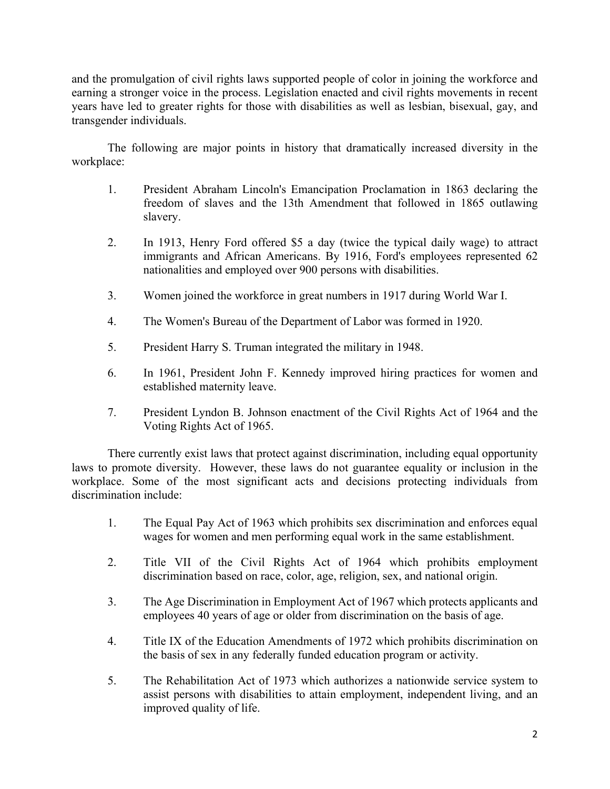and the promulgation of civil rights laws supported people of color in joining the workforce and earning a stronger voice in the process. Legislation enacted and civil rights movements in recent years have led to greater rights for those with disabilities as well as lesbian, bisexual, gay, and transgender individuals.

 The following are major points in history that dramatically increased diversity in the workplace:

- 1. President Abraham Lincoln's Emancipation Proclamation in 1863 declaring the freedom of slaves and the 13th Amendment that followed in 1865 outlawing slavery.
- 2. In 1913, Henry Ford offered \$5 a day (twice the typical daily wage) to attract immigrants and African Americans. By 1916, Ford's employees represented 62 nationalities and employed over 900 persons with disabilities.
- 3. Women joined the workforce in great numbers in 1917 during World War I.
- 4. The Women's Bureau of the Department of Labor was formed in 1920.
- 5. President Harry S. Truman integrated the military in 1948.
- 6. In 1961, President John F. Kennedy improved hiring practices for women and established maternity leave.
- 7. President Lyndon B. Johnson enactment of the Civil Rights Act of 1964 and the Voting Rights Act of 1965.

 There currently exist laws that protect against discrimination, including equal opportunity laws to promote diversity. However, these laws do not guarantee equality or inclusion in the workplace. Some of the most significant acts and decisions protecting individuals from discrimination include:

- 1. The Equal Pay Act of 1963 which prohibits sex discrimination and enforces equal wages for women and men performing equal work in the same establishment.
- 2. Title VII of the Civil Rights Act of 1964 which prohibits employment discrimination based on race, color, age, religion, sex, and national origin.
- 3. The Age Discrimination in Employment Act of 1967 which protects applicants and employees 40 years of age or older from discrimination on the basis of age.
- 4. Title IX of the Education Amendments of 1972 which prohibits discrimination on the basis of sex in any federally funded education program or activity.
- 5. The Rehabilitation Act of 1973 which authorizes a nationwide service system to assist persons with disabilities to attain employment, independent living, and an improved quality of life.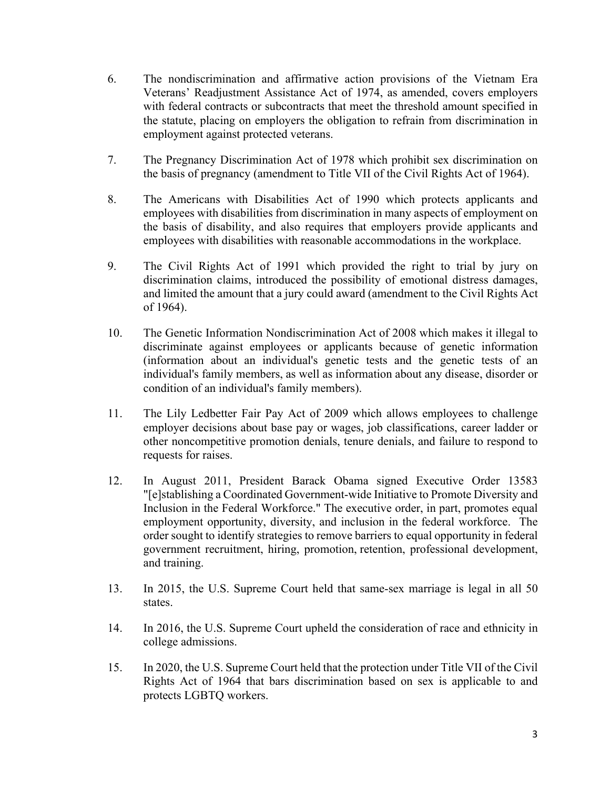- 6. The nondiscrimination and affirmative action provisions of the Vietnam Era Veterans' Readjustment Assistance Act of 1974, as amended, covers employers with federal contracts or subcontracts that meet the threshold amount specified in the statute, placing on employers the obligation to refrain from discrimination in employment against protected veterans.
- 7. The Pregnancy Discrimination Act of 1978 which prohibit sex discrimination on the basis of pregnancy (amendment to Title VII of the Civil Rights Act of 1964).
- 8. The Americans with Disabilities Act of 1990 which protects applicants and employees with disabilities from discrimination in many aspects of employment on the basis of disability, and also requires that employers provide applicants and employees with disabilities with reasonable accommodations in the workplace.
- 9. The Civil Rights Act of 1991 which provided the right to trial by jury on discrimination claims, introduced the possibility of emotional distress damages, and limited the amount that a jury could award (amendment to the Civil Rights Act of 1964).
- 10. The Genetic Information Nondiscrimination Act of 2008 which makes it illegal to discriminate against employees or applicants because of genetic information (information about an individual's genetic tests and the genetic tests of an individual's family members, as well as information about any disease, disorder or condition of an individual's family members).
- 11. The Lily Ledbetter Fair Pay Act of 2009 which allows employees to challenge employer decisions about base pay or wages, job classifications, career ladder or other noncompetitive promotion denials, tenure denials, and failure to respond to requests for raises.
- 12. In August 2011, President Barack Obama signed Executive Order 13583 "[e]stablishing a Coordinated Government-wide Initiative to Promote Diversity and Inclusion in the Federal Workforce." The executive order, in part, promotes equal employment opportunity, diversity, and inclusion in the federal workforce. The order sought to identify strategies to remove barriers to equal opportunity in federal government recruitment, hiring, promotion, retention, professional development, and training.
- 13. In 2015, the U.S. Supreme Court held that same-sex marriage is legal in all 50 states.
- 14. In 2016, the U.S. Supreme Court upheld the consideration of race and ethnicity in college admissions.
- 15. In 2020, the U.S. Supreme Court held that the protection under Title VII of the Civil Rights Act of 1964 that bars discrimination based on sex is applicable to and protects LGBTQ workers.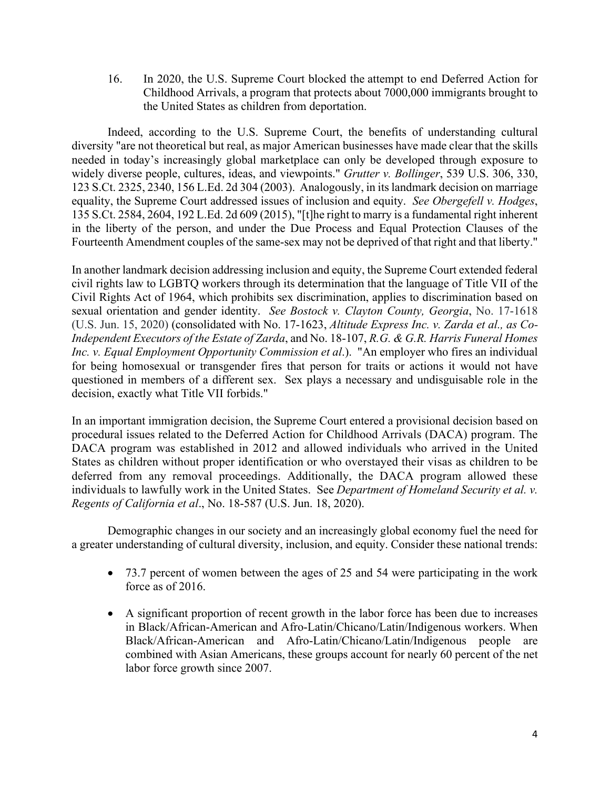16. In 2020, the U.S. Supreme Court blocked the attempt to end Deferred Action for Childhood Arrivals, a program that protects about 7000,000 immigrants brought to the United States as children from deportation.

 Indeed, according to the U.S. Supreme Court, the benefits of understanding cultural diversity "are not theoretical but real, as major American businesses have made clear that the skills needed in today's increasingly global marketplace can only be developed through exposure to widely diverse people, cultures, ideas, and viewpoints." *Grutter v. Bollinger*, 539 U.S. 306, 330, 123 S.Ct. 2325, 2340, 156 L.Ed. 2d 304 (2003). Analogously, in its landmark decision on marriage equality, the Supreme Court addressed issues of inclusion and equity. *See Obergefell v. Hodges*, 135 S.Ct. 2584, 2604, 192 L.Ed. 2d 609 (2015), "[t]he right to marry is a fundamental right inherent in the liberty of the person, and under the Due Process and Equal Protection Clauses of the Fourteenth Amendment couples of the same-sex may not be deprived of that right and that liberty."

In another landmark decision addressing inclusion and equity, the Supreme Court extended federal civil rights law to LGBTQ workers through its determination that the language of Title VII of the Civil Rights Act of 1964, which prohibits sex discrimination, applies to discrimination based on sexual orientation and gender identity. *See Bostock v. Clayton County, Georgia*, No. 17-1618 (U.S. Jun. 15, 2020) (consolidated with No. 17-1623, *Altitude Express Inc. v. Zarda et al., as Co-Independent Executors of the Estate of Zarda*, and No. 18-107, *R.G. & G.R. Harris Funeral Homes Inc. v. Equal Employment Opportunity Commission et al*.). "An employer who fires an individual for being homosexual or transgender fires that person for traits or actions it would not have questioned in members of a different sex. Sex plays a necessary and undisguisable role in the decision, exactly what Title VII forbids."

In an important immigration decision, the Supreme Court entered a provisional decision based on procedural issues related to the Deferred Action for Childhood Arrivals (DACA) program. The DACA program was established in 2012 and allowed individuals who arrived in the United States as children without proper identification or who overstayed their visas as children to be deferred from any removal proceedings. Additionally, the DACA program allowed these individuals to lawfully work in the United States. See *Department of Homeland Security et al. v. Regents of California et al*., No. 18-587 (U.S. Jun. 18, 2020).

 Demographic changes in our society and an increasingly global economy fuel the need for a greater understanding of cultural diversity, inclusion, and equity. Consider these national trends:

- 73.7 percent of women between the ages of 25 and 54 were participating in the work force as of 2016.
- A significant proportion of recent growth in the labor force has been due to increases in Black/African-American and Afro-Latin/Chicano/Latin/Indigenous workers. When Black/African-American and Afro-Latin/Chicano/Latin/Indigenous people are combined with Asian Americans, these groups account for nearly 60 percent of the net labor force growth since 2007.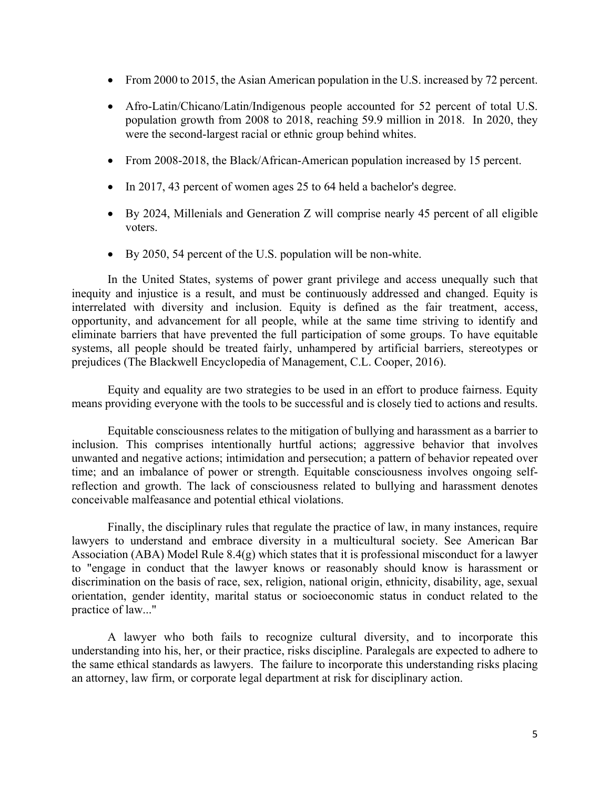- From 2000 to 2015, the Asian American population in the U.S. increased by 72 percent.
- Afro-Latin/Chicano/Latin/Indigenous people accounted for 52 percent of total U.S. population growth from 2008 to 2018, reaching 59.9 million in 2018. In 2020, they were the second-largest racial or ethnic group behind whites.
- From 2008-2018, the Black/African-American population increased by 15 percent.
- In 2017, 43 percent of women ages 25 to 64 held a bachelor's degree.
- By 2024, Millenials and Generation Z will comprise nearly 45 percent of all eligible voters.
- By 2050, 54 percent of the U.S. population will be non-white.

 In the United States, systems of power grant privilege and access unequally such that inequity and injustice is a result, and must be continuously addressed and changed. Equity is interrelated with diversity and inclusion. Equity is defined as the fair treatment, access, opportunity, and advancement for all people, while at the same time striving to identify and eliminate barriers that have prevented the full participation of some groups. To have equitable systems, all people should be treated fairly, unhampered by artificial barriers, stereotypes or prejudices (The Blackwell Encyclopedia of Management, C.L. Cooper, 2016).

 Equity and equality are two strategies to be used in an effort to produce fairness. Equity means providing everyone with the tools to be successful and is closely tied to actions and results.

 Equitable consciousness relates to the mitigation of bullying and harassment as a barrier to inclusion. This comprises intentionally hurtful actions; aggressive behavior that involves unwanted and negative actions; intimidation and persecution; a pattern of behavior repeated over time; and an imbalance of power or strength. Equitable consciousness involves ongoing selfreflection and growth. The lack of consciousness related to bullying and harassment denotes conceivable malfeasance and potential ethical violations.

 Finally, the disciplinary rules that regulate the practice of law, in many instances, require lawyers to understand and embrace diversity in a multicultural society. See American Bar Association (ABA) Model Rule 8.4(g) which states that it is professional misconduct for a lawyer to "engage in conduct that the lawyer knows or reasonably should know is harassment or discrimination on the basis of race, sex, religion, national origin, ethnicity, disability, age, sexual orientation, gender identity, marital status or socioeconomic status in conduct related to the practice of law..."

 A lawyer who both fails to recognize cultural diversity, and to incorporate this understanding into his, her, or their practice, risks discipline. Paralegals are expected to adhere to the same ethical standards as lawyers. The failure to incorporate this understanding risks placing an attorney, law firm, or corporate legal department at risk for disciplinary action.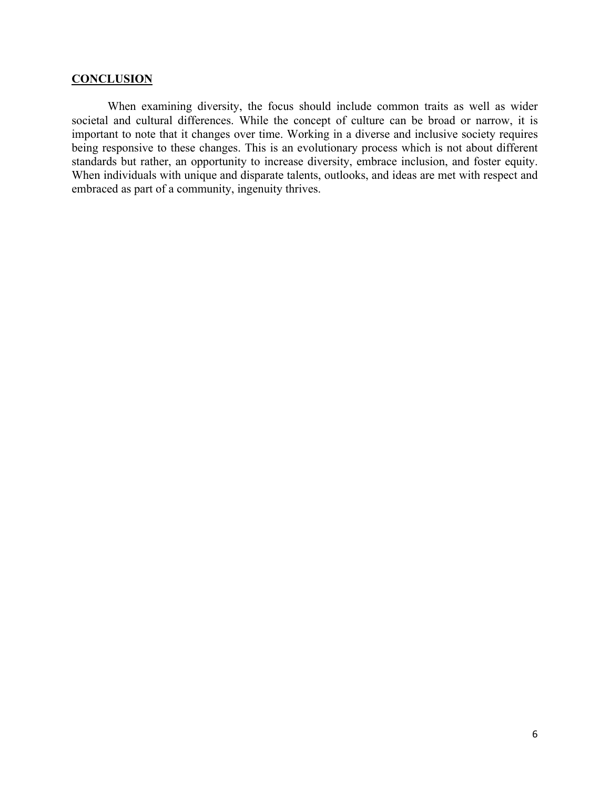## **CONCLUSION**

 When examining diversity, the focus should include common traits as well as wider societal and cultural differences. While the concept of culture can be broad or narrow, it is important to note that it changes over time. Working in a diverse and inclusive society requires being responsive to these changes. This is an evolutionary process which is not about different standards but rather, an opportunity to increase diversity, embrace inclusion, and foster equity. When individuals with unique and disparate talents, outlooks, and ideas are met with respect and embraced as part of a community, ingenuity thrives.